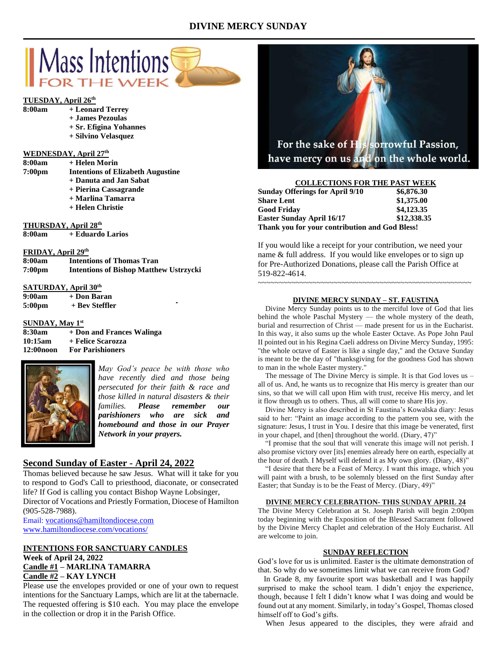# **DIVINE MERCY SUNDAY**



#### **TUESDAY, April 26th 8:00am**

| + Leonard Terrey |  |
|------------------|--|
|                  |  |

- **+ James Pezoulas**
- **+ Sr. Efigina Yohannes**
- **+ Silvino Velasquez**

### **WEDNESDAY, April 27 th**

| 8:00am             | + Helen Morin                            |
|--------------------|------------------------------------------|
| 7:00 <sub>pm</sub> | <b>Intentions of Elizabeth Augustine</b> |
|                    | + Danuta and Jan Sabat                   |
|                    | + Pierina Cassagrande                    |
|                    | + Marlina Tamarra                        |
|                    | + Helen Christie                         |
|                    |                                          |
|                    |                                          |

**THURSDAY, April 28 th**

**8:00am + Eduardo Larios**

| FRIDAY, April 29th |                                               |
|--------------------|-----------------------------------------------|
| 8:00am             | <b>Intentions of Thomas Tran</b>              |
| 7:00 <sub>pm</sub> | <b>Intentions of Bishop Matthew Ustrzycki</b> |

# **SATURDAY, April 30th**

**9:00am + Don Baran 5:00pm + Bev Steffler**

# **SUNDAY, May 1st**

**8:30am + Don and Frances Walinga 10:15am + Felice Scarozza 12:00noon For Parishioners**



*May God's peace be with those who have recently died and those being persecuted for their faith & race and those killed in natural disasters & their families. Please remember our parishioners who are sick and homebound and those in our Prayer Network in your prayers.*

# **Second Sunday of Easter - April 24, 2022**

Thomas believed because he saw Jesus. What will it take for you to respond to God's Call to priesthood, diaconate, or consecrated life? If God is calling you contact Bishop Wayne Lobsinger, Director of Vocations and Priestly Formation, Diocese of Hamilton

(905-528-7988). Email: [vocations@hamiltondiocese.com](mailto:vocations@hamiltondiocese.com)

[www.hamiltondiocese.com/vocations/](http://www.hamiltondiocese.com/vocations/)

# **INTENTIONS FOR SANCTUARY CANDLES Week of April 24, 2022 Candle #1 – MARLINA TAMARRA Candle #2 – KAY LYNCH**

Please use the envelopes provided or one of your own to request intentions for the Sanctuary Lamps, which are lit at the tabernacle. The requested offering is \$10 each. You may place the envelope in the collection or drop it in the Parish Office.



### **COLLECTIONS FOR THE PAST WEEK**

| <b>Sunday Offerings for April 9/10</b>         | \$6,876.30  |
|------------------------------------------------|-------------|
| <b>Share Lent</b>                              | \$1,375.00  |
| <b>Good Friday</b>                             | \$4,123,35  |
| <b>Easter Sunday April 16/17</b>               | \$12,338.35 |
| Thank you for your contribution and God Bless! |             |

 $\sim\sim\sim\sim\sim\sim\sim\sim\sim\sim$ 

If you would like a receipt for your contribution, we need your name & full address. If you would like envelopes or to sign up for Pre-Authorized Donations, please call the Parish Office at 519-822-4614.

### **DIVINE MERCY SUNDAY – ST. FAUSTINA**

 Divine Mercy Sunday points us to the merciful love of God that lies behind the whole Paschal Mystery — the whole mystery of the death, burial and resurrection of Christ — made present for us in the Eucharist. In this way, it also sums up the whole Easter Octave. As Pope John Paul II pointed out in his Regina Caeli address on Divine Mercy Sunday, 1995: "the whole octave of Easter is like a single day," and the Octave Sunday is meant to be the day of "thanksgiving for the goodness God has shown to man in the whole Easter mystery."

 The message of The Divine Mercy is simple. It is that God loves us – all of us. And, he wants us to recognize that His mercy is greater than our sins, so that we will call upon Him with trust, receive His mercy, and let it flow through us to others. Thus, all will come to share His joy.

 Divine Mercy is also described in St Faustina's Kowalska diary: Jesus said to her: "Paint an image according to the pattern you see, with the signature: Jesus, I trust in You. I desire that this image be venerated, first in your chapel, and [then] throughout the world. (Diary, 47)"

 "I promise that the soul that will venerate this image will not perish. I also promise victory over [its] enemies already here on earth, especially at the hour of death. I Myself will defend it as My own glory. (Diary, 48)"

 "I desire that there be a Feast of Mercy. I want this image, which you will paint with a brush, to be solemnly blessed on the first Sunday after Easter; that Sunday is to be the Feast of Mercy. (Diary, 49)"

### **DIVINE MERCY CELEBRATION- THIS SUNDAY APRIL 24**

The Divine Mercy Celebration at St. Joseph Parish will begin 2:00pm today beginning with the Exposition of the Blessed Sacrament followed by the Divine Mercy Chaplet and celebration of the Holy Eucharist. All are welcome to join.

#### **SUNDAY REFLECTION**

God's love for us is unlimited. Easter is the ultimate demonstration of that. So why do we sometimes limit what we can receive from God?

 In Grade 8, my favourite sport was basketball and I was happily surprised to make the school team. I didn't enjoy the experience, though, because I felt I didn't know what I was doing and would be found out at any moment. Similarly, in today's Gospel, Thomas closed himself off to God's gifts.

When Jesus appeared to the disciples, they were afraid and